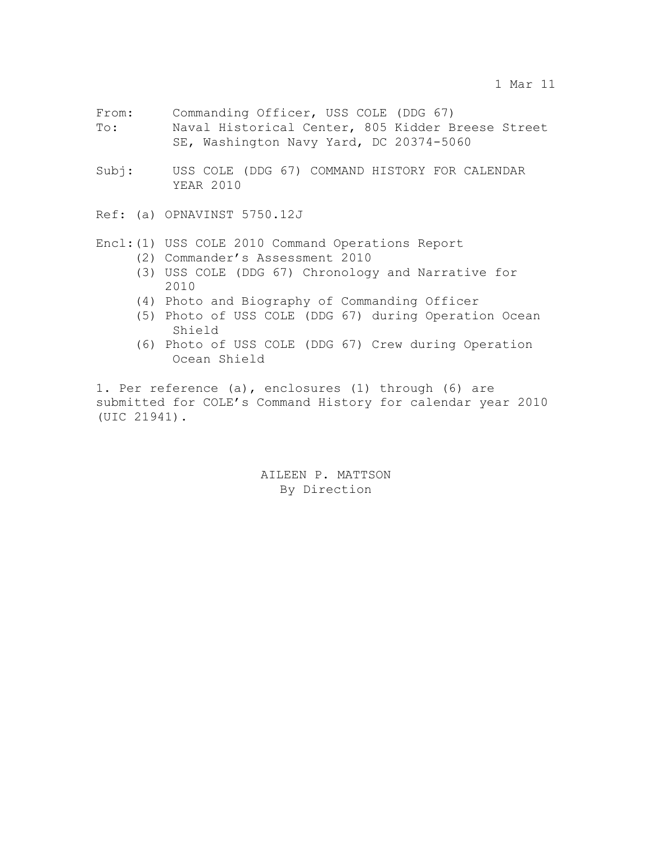- From: Commanding Officer, USS COLE (DDG 67) To: Naval Historical Center, 805 Kidder Breese Street SE, Washington Navy Yard, DC 20374-5060
- Subj: USS COLE (DDG 67) COMMAND HISTORY FOR CALENDAR YEAR 2010
- Ref: (a) OPNAVINST 5750.12J

## Encl:(1) USS COLE 2010 Command Operations Report

- (2) Commander's Assessment 2010
- (3) USS COLE (DDG 67) Chronology and Narrative for 2010
- (4) Photo and Biography of Commanding Officer
- (5) Photo of USS COLE (DDG 67) during Operation Ocean Shield
- (6) Photo of USS COLE (DDG 67) Crew during Operation Ocean Shield

1. Per reference (a), enclosures (1) through (6) are submitted for COLE's Command History for calendar year 2010 (UIC 21941).

> AILEEN P. MATTSON By Direction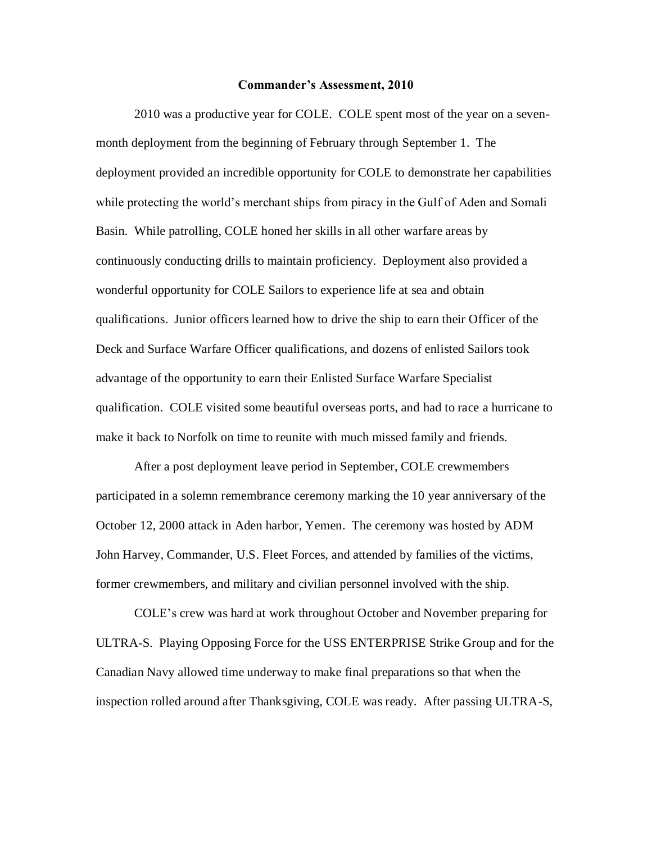#### **Commander's Assessment, 2010**

2010 was a productive year for COLE. COLE spent most of the year on a sevenmonth deployment from the beginning of February through September 1. The deployment provided an incredible opportunity for COLE to demonstrate her capabilities while protecting the world's merchant ships from piracy in the Gulf of Aden and Somali Basin. While patrolling, COLE honed her skills in all other warfare areas by continuously conducting drills to maintain proficiency. Deployment also provided a wonderful opportunity for COLE Sailors to experience life at sea and obtain qualifications. Junior officers learned how to drive the ship to earn their Officer of the Deck and Surface Warfare Officer qualifications, and dozens of enlisted Sailors took advantage of the opportunity to earn their Enlisted Surface Warfare Specialist qualification. COLE visited some beautiful overseas ports, and had to race a hurricane to make it back to Norfolk on time to reunite with much missed family and friends.

After a post deployment leave period in September, COLE crewmembers participated in a solemn remembrance ceremony marking the 10 year anniversary of the October 12, 2000 attack in Aden harbor, Yemen. The ceremony was hosted by ADM John Harvey, Commander, U.S. Fleet Forces, and attended by families of the victims, former crewmembers, and military and civilian personnel involved with the ship.

COLE's crew was hard at work throughout October and November preparing for ULTRA-S. Playing Opposing Force for the USS ENTERPRISE Strike Group and for the Canadian Navy allowed time underway to make final preparations so that when the inspection rolled around after Thanksgiving, COLE was ready. After passing ULTRA-S,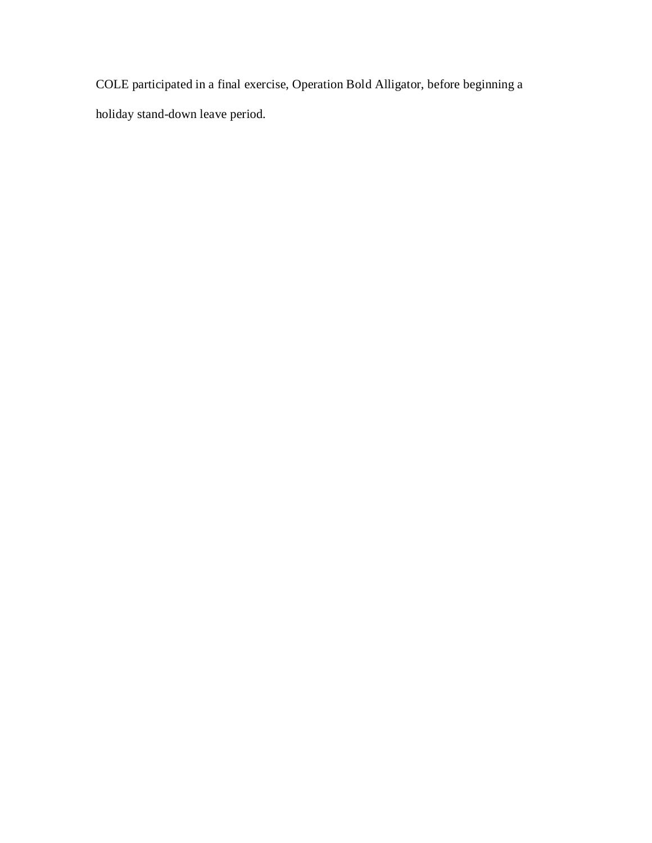COLE participated in a final exercise, Operation Bold Alligator, before beginning a holiday stand-down leave period.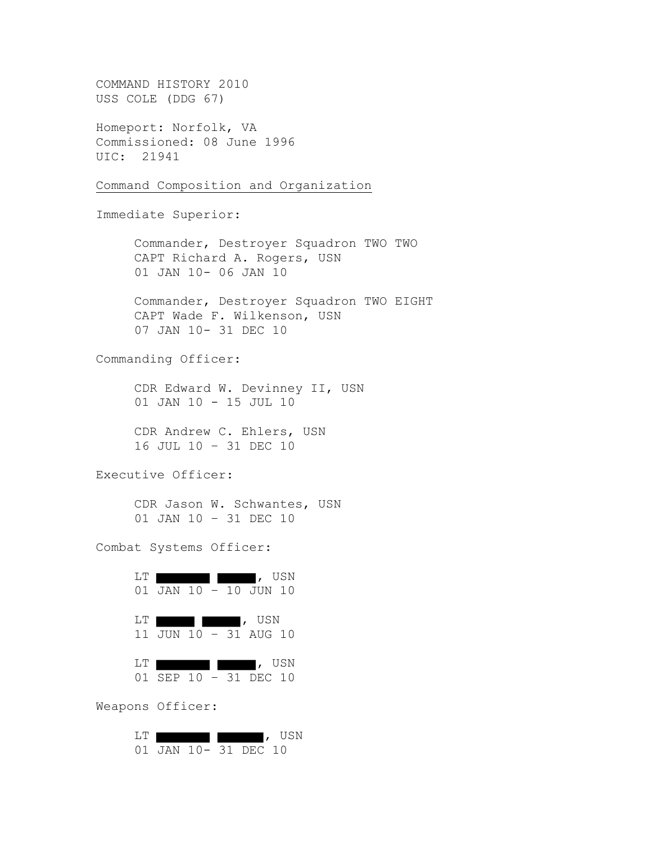COMMAND HISTORY 2010 USS COLE (DDG 67) Homeport: Norfolk, VA Commissioned: 08 June 1996 UIC: 21941 Command Composition and Organization Immediate Superior: Commander, Destroyer Squadron TWO TWO CAPT Richard A. Rogers, USN 01 JAN 10- 06 JAN 10 Commander, Destroyer Squadron TWO EIGHT CAPT Wade F. Wilkenson, USN 07 JAN 10- 31 DEC 10 Commanding Officer: CDR Edward W. Devinney II, USN 01 JAN 10 - 15 JUL 10 CDR Andrew C. Ehlers, USN 16 JUL 10 – 31 DEC 10 Executive Officer: CDR Jason W. Schwantes, USN 01 JAN 10 – 31 DEC 10 Combat Systems Officer: LT **the contract of the contract of the contract of the contract of the contract of the contract of the contract of the contract of the contract of the contract of the contract of the contract of the contract of the contra** 01 JAN 10 - 10 JUN 10 LT **the contract of the contract of the contract of the contract of the contract of the contract of the contract of the contract of the contract of the contract of the contract of the contract of the contract of the contra** 11 JUN 10 – 31 AUG 10 LT , USN 01 SEP 10 – 31 DEC 10 Weapons Officer: LT , USN 01 JAN 10- 31 DEC 10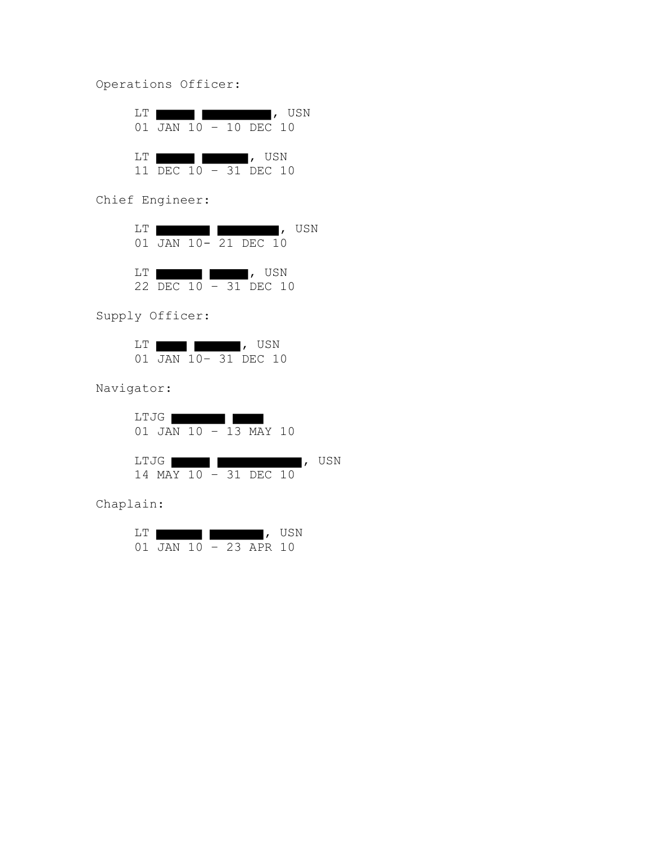Operations Officer:

| LT. | $\blacksquare$ , USN<br>01 JAN 10 - 10 DEC 10         |  |
|-----|-------------------------------------------------------|--|
| LT. | $\sqrt{1-\frac{1}{2}}$ , USN<br>11 DEC 10 - 31 DEC 10 |  |

Chief Engineer:

| LT. |                       |  |        | I, USN |
|-----|-----------------------|--|--------|--------|
|     | 01 JAN 10- 21 DEC 10  |  |        |        |
|     |                       |  |        |        |
| LT. |                       |  | I, USN |        |
|     | 22 DEC 10 - 31 DEC 10 |  |        |        |

Supply Officer:

| ' النسا |  | USN                              |  |
|---------|--|----------------------------------|--|
|         |  | $(1)$ JAN $(10 - 31)$ DEC $(10)$ |  |

Navigator:

LTJG 01 JAN 10 – 13 MAY 10 LTJG , USN 14 MAY 10 – 31 DEC 10

Chaplain:

| L.'I' |               |  |              | USN |
|-------|---------------|--|--------------|-----|
|       | $01$ $JAN$ 10 |  | $-23$ APR 10 |     |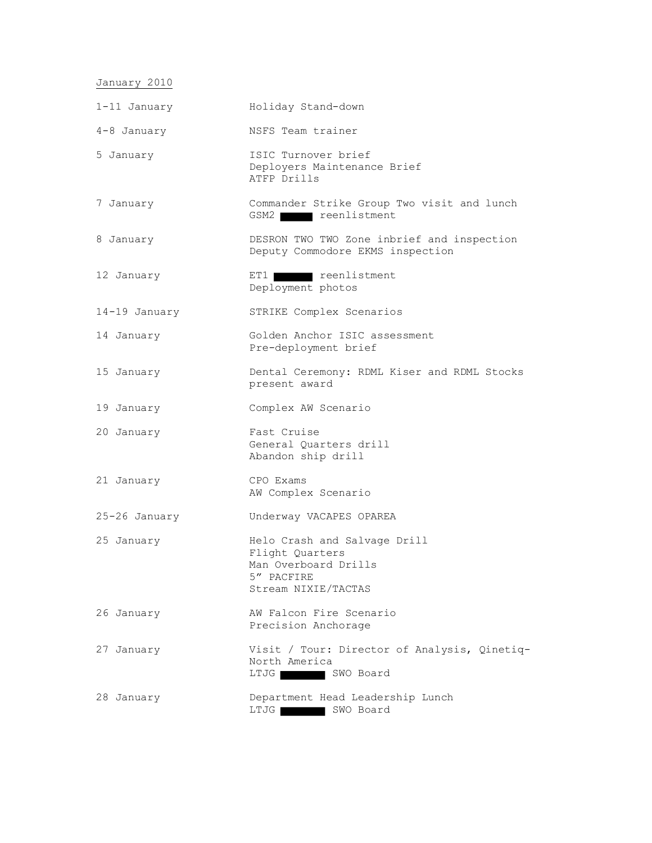January 2010

| 1-11 January  | Holiday Stand-down                                                                                           |
|---------------|--------------------------------------------------------------------------------------------------------------|
| 4-8 January   | NSFS Team trainer                                                                                            |
| 5 January     | ISIC Turnover brief<br>Deployers Maintenance Brief<br>ATFP Drills                                            |
| 7 January     | Commander Strike Group Two visit and lunch<br>GSM2 reenlistment                                              |
| 8 January     | DESRON TWO TWO Zone inbrief and inspection<br>Deputy Commodore EKMS inspection                               |
| 12 January    | ET1 <b>THE TEENA</b> reenlistment<br>Deployment photos                                                       |
| 14-19 January | STRIKE Complex Scenarios                                                                                     |
| 14 January    | Golden Anchor ISIC assessment<br>Pre-deployment brief                                                        |
| 15 January    | Dental Ceremony: RDML Kiser and RDML Stocks<br>present award                                                 |
| 19 January    | Complex AW Scenario                                                                                          |
| 20 January    | Fast Cruise<br>General Quarters drill<br>Abandon ship drill                                                  |
| 21 January    | CPO Exams<br>AW Complex Scenario                                                                             |
| 25-26 January | Underway VACAPES OPAREA                                                                                      |
| 25 January    | Helo Crash and Salvage Drill<br>Flight Quarters<br>Man Overboard Drills<br>5" PACFIRE<br>Stream NIXIE/TACTAS |
| 26 January    | AW Falcon Fire Scenario<br>Precision Anchorage                                                               |
| 27 January    | Visit / Tour: Director of Analysis, Qinetiq-<br>North America<br>LTJG SWO Board                              |
| 28 January    | Department Head Leadership Lunch<br>LTJG<br>SWO Board                                                        |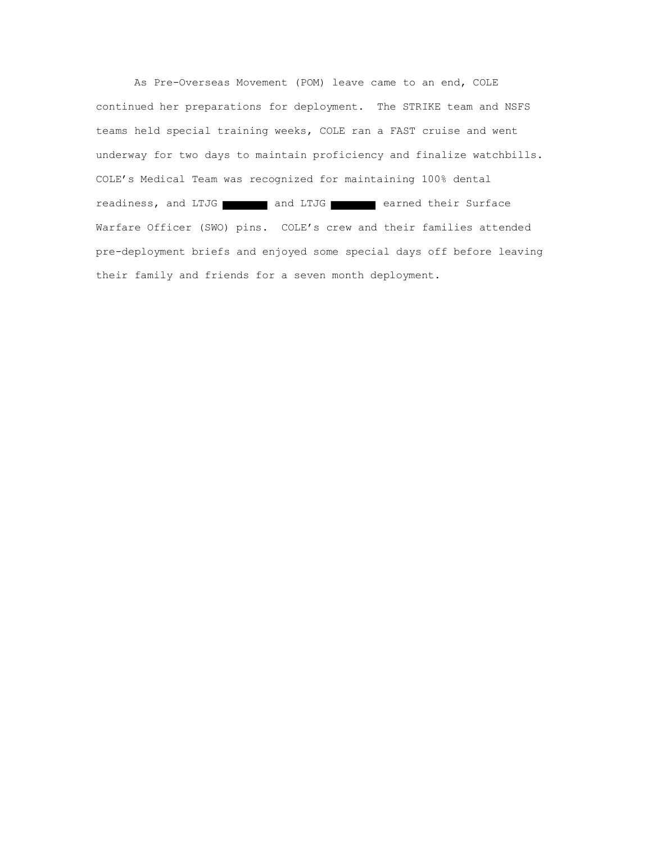As Pre-Overseas Movement (POM) leave came to an end, COLE continued her preparations for deployment. The STRIKE team and NSFS teams held special training weeks, COLE ran a FAST cruise and went underway for two days to maintain proficiency and finalize watchbills. COLE's Medical Team was recognized for maintaining 100% dental readiness, and LTJG and LTJG earned their Surface Warfare Officer (SWO) pins. COLE's crew and their families attended pre-deployment briefs and enjoyed some special days off before leaving their family and friends for a seven month deployment.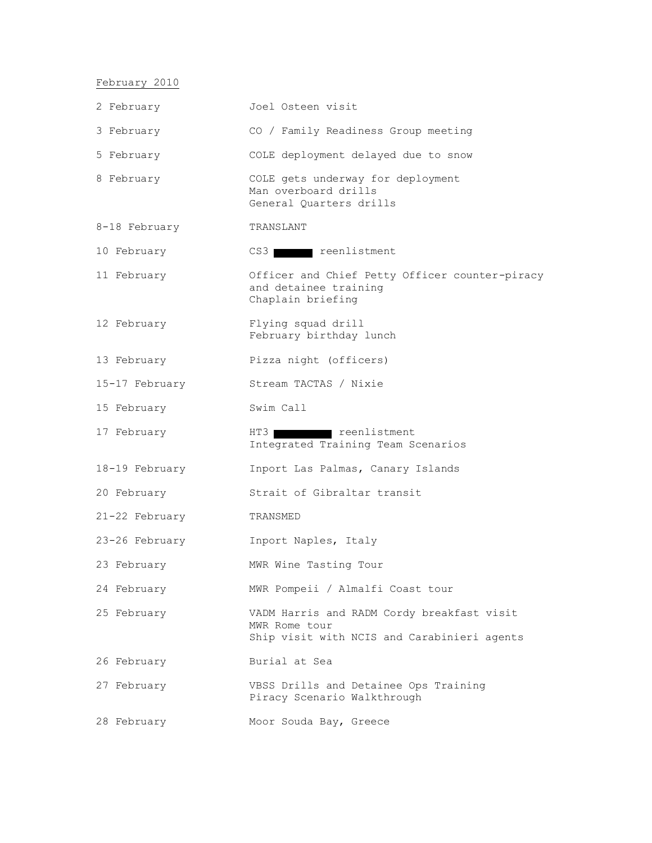February 2010

| 2 February     | Joel Osteen visit                                                                                          |
|----------------|------------------------------------------------------------------------------------------------------------|
| 3 February     | CO / Family Readiness Group meeting                                                                        |
| 5 February     | COLE deployment delayed due to snow                                                                        |
| 8 February     | COLE gets underway for deployment<br>Man overboard drills<br>General Quarters drills                       |
| 8-18 February  | TRANSLANT                                                                                                  |
| 10 February    | CS3 reenlistment                                                                                           |
| 11 February    | Officer and Chief Petty Officer counter-piracy<br>and detainee training<br>Chaplain briefing               |
| 12 February    | Flying squad drill<br>February birthday lunch                                                              |
| 13 February    | Pizza night (officers)                                                                                     |
| 15-17 February | Stream TACTAS / Nixie                                                                                      |
| 15 February    | Swim Call                                                                                                  |
| 17 February    | HT3<br>reenlistment<br>Integrated Training Team Scenarios                                                  |
| 18-19 February | Inport Las Palmas, Canary Islands                                                                          |
| 20 February    | Strait of Gibraltar transit                                                                                |
| 21-22 February | TRANSMED                                                                                                   |
| 23-26 February | Inport Naples, Italy                                                                                       |
| 23 February    | MWR Wine Tasting Tour                                                                                      |
| 24 February    | MWR Pompeii / Almalfi Coast tour                                                                           |
| 25 February    | VADM Harris and RADM Cordy breakfast visit<br>MWR Rome tour<br>Ship visit with NCIS and Carabinieri agents |
| 26 February    | Burial at Sea                                                                                              |
| 27 February    | VBSS Drills and Detainee Ops Training<br>Piracy Scenario Walkthrough                                       |
| 28 February    | Moor Souda Bay, Greece                                                                                     |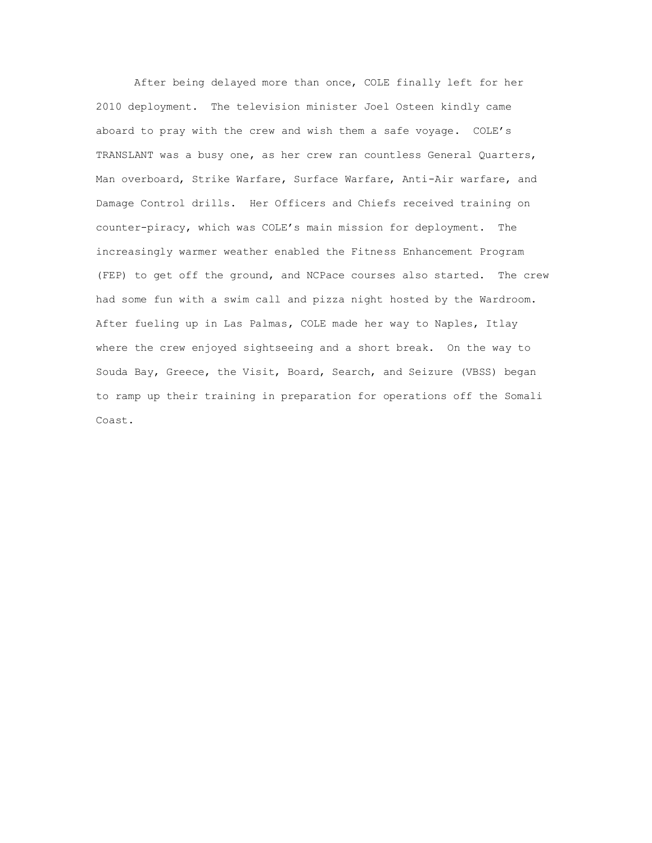After being delayed more than once, COLE finally left for her 2010 deployment. The television minister Joel Osteen kindly came aboard to pray with the crew and wish them a safe voyage. COLE's TRANSLANT was a busy one, as her crew ran countless General Quarters, Man overboard, Strike Warfare, Surface Warfare, Anti-Air warfare, and Damage Control drills. Her Officers and Chiefs received training on counter-piracy, which was COLE's main mission for deployment. The increasingly warmer weather enabled the Fitness Enhancement Program (FEP) to get off the ground, and NCPace courses also started. The crew had some fun with a swim call and pizza night hosted by the Wardroom. After fueling up in Las Palmas, COLE made her way to Naples, Itlay where the crew enjoyed sightseeing and a short break. On the way to Souda Bay, Greece, the Visit, Board, Search, and Seizure (VBSS) began to ramp up their training in preparation for operations off the Somali Coast.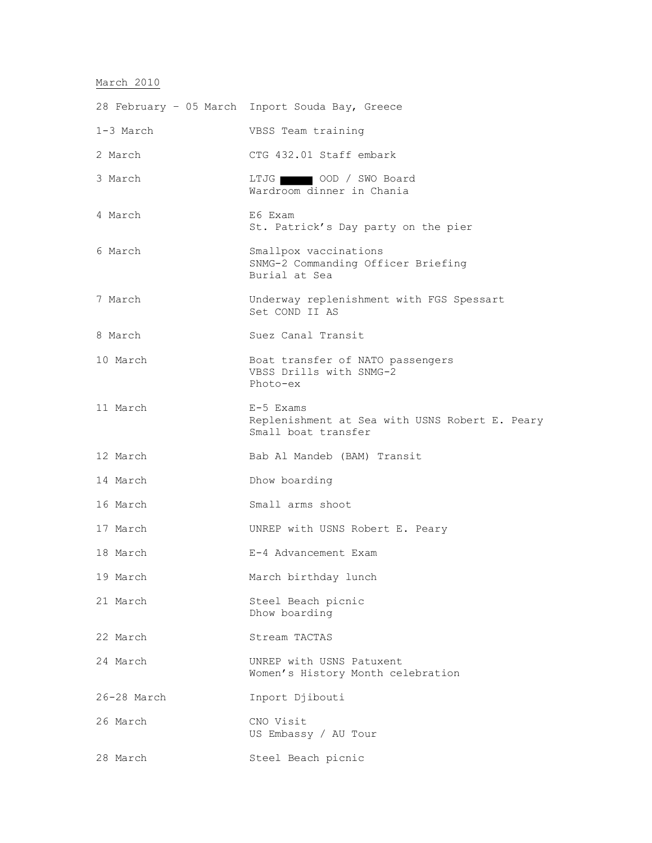# March 2010

|             | 28 February - 05 March Inport Souda Bay, Greece                                    |
|-------------|------------------------------------------------------------------------------------|
| $1-3$ March | VBSS Team training                                                                 |
| 2 March     | CTG 432.01 Staff embark                                                            |
| 3 March     | LTJG 00D / SWO Board<br>Wardroom dinner in Chania                                  |
| 4 March     | E6 Exam<br>St. Patrick's Day party on the pier                                     |
| 6 March     | Smallpox vaccinations<br>SNMG-2 Commanding Officer Briefing<br>Burial at Sea       |
| 7 March     | Underway replenishment with FGS Spessart<br>Set COND II AS                         |
| 8 March     | Suez Canal Transit                                                                 |
| 10 March    | Boat transfer of NATO passengers<br>VBSS Drills with SNMG-2<br>Photo-ex            |
| 11 March    | E-5 Exams<br>Replenishment at Sea with USNS Robert E. Peary<br>Small boat transfer |
| 12 March    | Bab Al Mandeb (BAM) Transit                                                        |
| 14 March    | Dhow boarding                                                                      |
| 16 March    | Small arms shoot                                                                   |
| 17 March    | UNREP with USNS Robert E. Peary                                                    |
| 18 March    | E-4 Advancement Exam                                                               |
| 19 March    | March birthday lunch                                                               |
| 21 March    | Steel Beach picnic<br>Dhow boarding                                                |
| 22 March    | Stream TACTAS                                                                      |
| 24 March    | UNREP with USNS Patuxent<br>Women's History Month celebration                      |
| 26-28 March | Inport Djibouti                                                                    |
| 26 March    | CNO Visit<br>US Embassy / AU Tour                                                  |
| 28 March    | Steel Beach picnic                                                                 |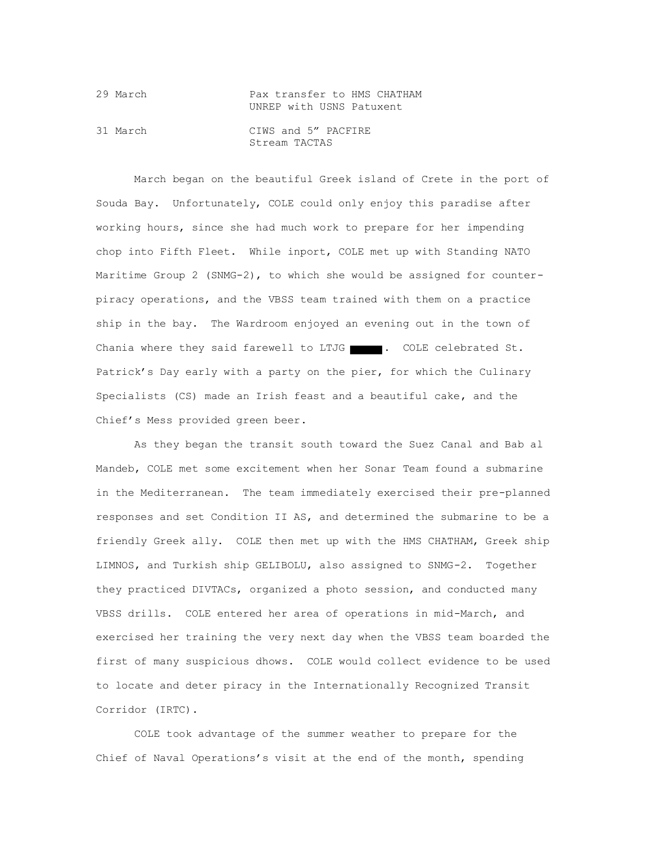| 29 March | Pax transfer to HMS CHATHAM |
|----------|-----------------------------|
|          | UNREP with USNS Patuxent    |
| 31 March | CIWS and 5" PACFIRE         |
|          | Stream TACTAS               |

March began on the beautiful Greek island of Crete in the port of Souda Bay. Unfortunately, COLE could only enjoy this paradise after working hours, since she had much work to prepare for her impending chop into Fifth Fleet. While inport, COLE met up with Standing NATO Maritime Group 2 (SNMG-2), to which she would be assigned for counterpiracy operations, and the VBSS team trained with them on a practice ship in the bay. The Wardroom enjoyed an evening out in the town of Chania where they said farewell to LTJG . COLE celebrated St. Patrick's Day early with a party on the pier, for which the Culinary Specialists (CS) made an Irish feast and a beautiful cake, and the Chief's Mess provided green beer.

As they began the transit south toward the Suez Canal and Bab al Mandeb, COLE met some excitement when her Sonar Team found a submarine in the Mediterranean. The team immediately exercised their pre-planned responses and set Condition II AS, and determined the submarine to be a friendly Greek ally. COLE then met up with the HMS CHATHAM, Greek ship LIMNOS, and Turkish ship GELIBOLU, also assigned to SNMG-2. Together they practiced DIVTACs, organized a photo session, and conducted many VBSS drills. COLE entered her area of operations in mid-March, and exercised her training the very next day when the VBSS team boarded the first of many suspicious dhows. COLE would collect evidence to be used to locate and deter piracy in the Internationally Recognized Transit Corridor (IRTC).

COLE took advantage of the summer weather to prepare for the Chief of Naval Operations's visit at the end of the month, spending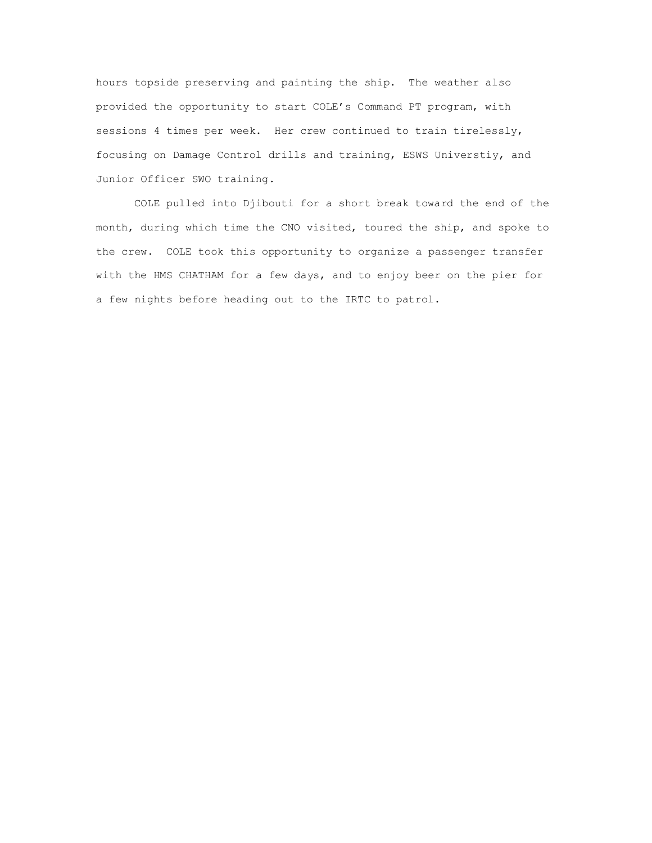hours topside preserving and painting the ship. The weather also provided the opportunity to start COLE's Command PT program, with sessions 4 times per week. Her crew continued to train tirelessly, focusing on Damage Control drills and training, ESWS Universtiy, and Junior Officer SWO training.

COLE pulled into Djibouti for a short break toward the end of the month, during which time the CNO visited, toured the ship, and spoke to the crew. COLE took this opportunity to organize a passenger transfer with the HMS CHATHAM for a few days, and to enjoy beer on the pier for a few nights before heading out to the IRTC to patrol.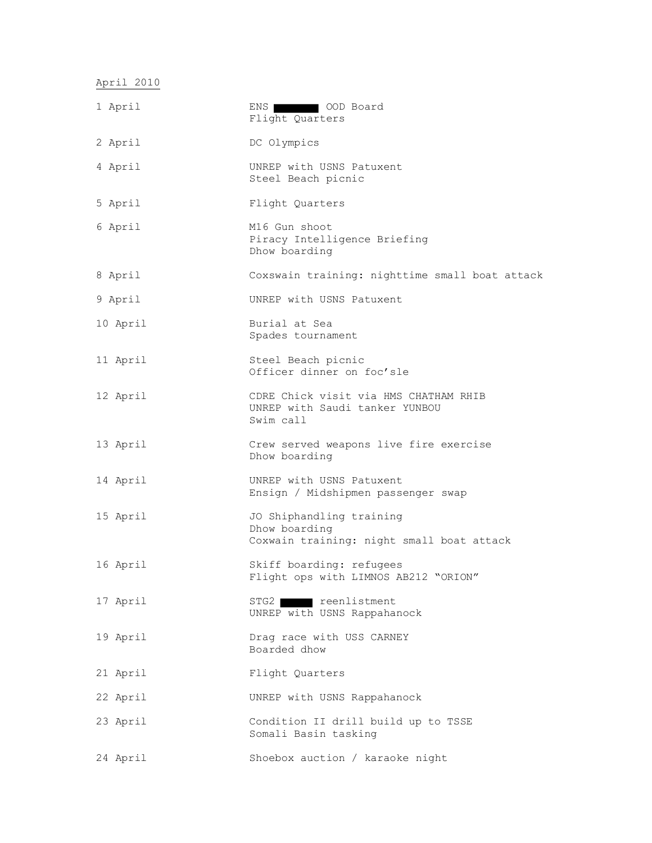April 2010

| 1 April  | OOD Board<br>ENS 1<br>Flight Quarters                                                  |
|----------|----------------------------------------------------------------------------------------|
| 2 April  | DC Olympics                                                                            |
| 4 April  | UNREP with USNS Patuxent<br>Steel Beach picnic                                         |
| 5 April  | Flight Quarters                                                                        |
| 6 April  | M16 Gun shoot<br>Piracy Intelligence Briefing<br>Dhow boarding                         |
| 8 April  | Coxswain training: nighttime small boat attack                                         |
| 9 April  | UNREP with USNS Patuxent                                                               |
| 10 April | Burial at Sea<br>Spades tournament                                                     |
| 11 April | Steel Beach picnic<br>Officer dinner on foc'sle                                        |
| 12 April | CDRE Chick visit via HMS CHATHAM RHIB<br>UNREP with Saudi tanker YUNBOU<br>Swim call   |
| 13 April | Crew served weapons live fire exercise<br>Dhow boarding                                |
| 14 April | UNREP with USNS Patuxent<br>Ensign / Midshipmen passenger swap                         |
| 15 April | JO Shiphandling training<br>Dhow boarding<br>Coxwain training: night small boat attack |
| 16 April | Skiff boarding: refugees<br>Flight ops with LIMNOS AB212 "ORION"                       |
| 17 April | STG2 reenlistment<br>UNREP with USNS Rappahanock                                       |
| 19 April | Drag race with USS CARNEY<br>Boarded dhow                                              |
| 21 April | Flight Quarters                                                                        |
| 22 April | UNREP with USNS Rappahanock                                                            |
| 23 April | Condition II drill build up to TSSE<br>Somali Basin tasking                            |
| 24 April | Shoebox auction / karaoke night                                                        |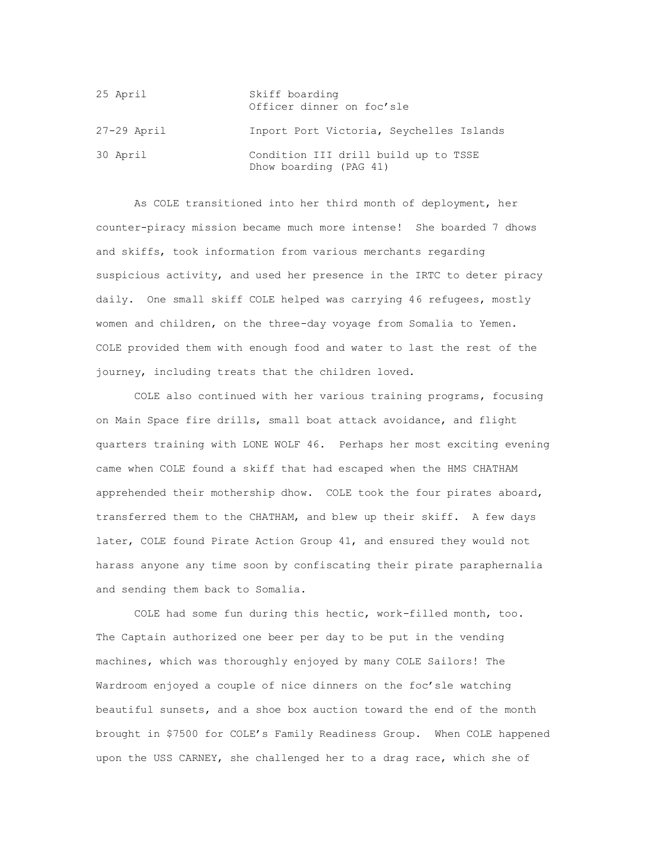| 25 April      | Skiff boarding<br>Officer dinner on foc'sle                    |
|---------------|----------------------------------------------------------------|
| $27-29$ April | Inport Port Victoria, Seychelles Islands                       |
| 30 April      | Condition III drill build up to TSSE<br>Dhow boarding (PAG 41) |

As COLE transitioned into her third month of deployment, her counter-piracy mission became much more intense! She boarded 7 dhows and skiffs, took information from various merchants regarding suspicious activity, and used her presence in the IRTC to deter piracy daily. One small skiff COLE helped was carrying 46 refugees, mostly women and children, on the three-day voyage from Somalia to Yemen. COLE provided them with enough food and water to last the rest of the journey, including treats that the children loved.

COLE also continued with her various training programs, focusing on Main Space fire drills, small boat attack avoidance, and flight quarters training with LONE WOLF 46. Perhaps her most exciting evening came when COLE found a skiff that had escaped when the HMS CHATHAM apprehended their mothership dhow. COLE took the four pirates aboard, transferred them to the CHATHAM, and blew up their skiff. A few days later, COLE found Pirate Action Group 41, and ensured they would not harass anyone any time soon by confiscating their pirate paraphernalia and sending them back to Somalia.

COLE had some fun during this hectic, work-filled month, too. The Captain authorized one beer per day to be put in the vending machines, which was thoroughly enjoyed by many COLE Sailors! The Wardroom enjoyed a couple of nice dinners on the foc'sle watching beautiful sunsets, and a shoe box auction toward the end of the month brought in \$7500 for COLE's Family Readiness Group. When COLE happened upon the USS CARNEY, she challenged her to a drag race, which she of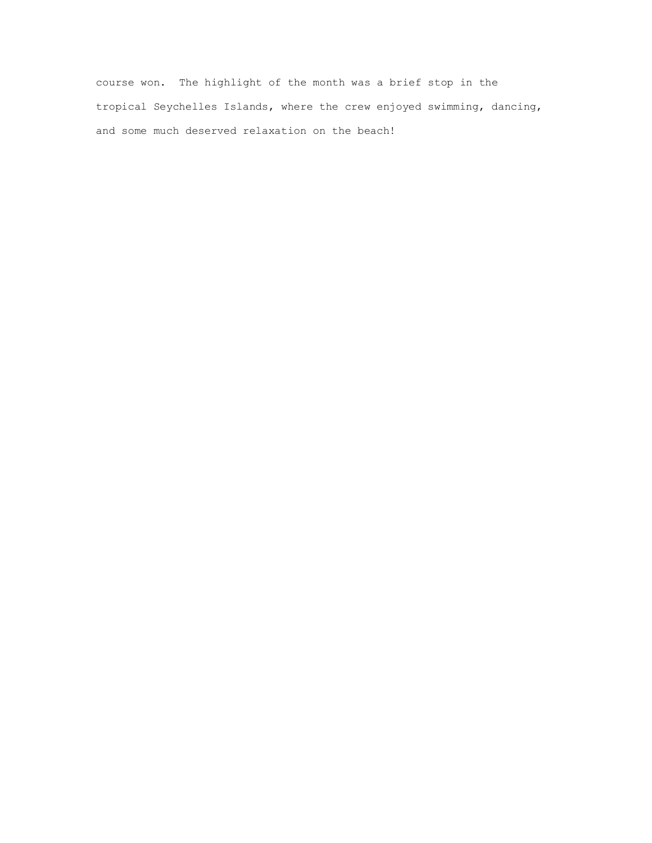course won. The highlight of the month was a brief stop in the tropical Seychelles Islands, where the crew enjoyed swimming, dancing, and some much deserved relaxation on the beach!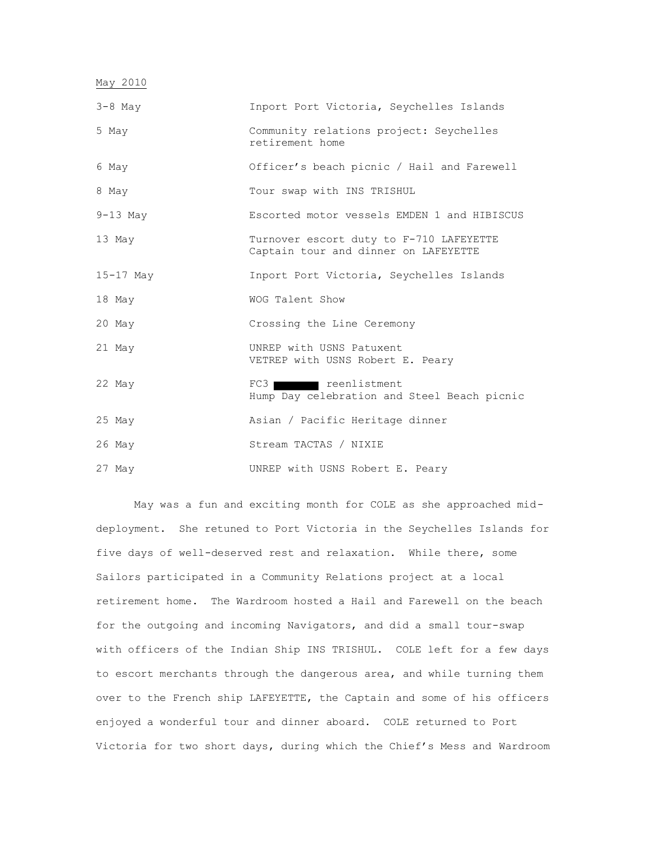| May 2010    |                                                                                 |
|-------------|---------------------------------------------------------------------------------|
| $3-8$ May   | Inport Port Victoria, Seychelles Islands                                        |
| 5 May       | Community relations project: Seychelles<br>retirement home                      |
| 6 May       | Officer's beach picnic / Hail and Farewell                                      |
| 8 May       | Tour swap with INS TRISHUL                                                      |
| $9-13$ May  | Escorted motor vessels EMDEN 1 and HIBISCUS                                     |
| 13 May      | Turnover escort duty to F-710 LAFEYETTE<br>Captain tour and dinner on LAFEYETTE |
| $15-17$ May | Inport Port Victoria, Seychelles Islands                                        |
| 18 May      | WOG Talent Show                                                                 |
| 20 May      | Crossing the Line Ceremony                                                      |
| 21 May      | UNREP with USNS Patuxent<br>VETREP with USNS Robert E. Peary                    |
| 22 May      | FC3<br>reenlistment<br>Hump Day celebration and Steel Beach picnic              |
| 25 May      | Asian / Pacific Heritage dinner                                                 |
| $26$ May    | Stream TACTAS / NIXIE                                                           |
| 27 May      | UNREP with USNS Robert E. Peary                                                 |

May was a fun and exciting month for COLE as she approached middeployment. She retuned to Port Victoria in the Seychelles Islands for five days of well-deserved rest and relaxation. While there, some Sailors participated in a Community Relations project at a local retirement home. The Wardroom hosted a Hail and Farewell on the beach for the outgoing and incoming Navigators, and did a small tour-swap with officers of the Indian Ship INS TRISHUL. COLE left for a few days to escort merchants through the dangerous area, and while turning them over to the French ship LAFEYETTE, the Captain and some of his officers enjoyed a wonderful tour and dinner aboard. COLE returned to Port Victoria for two short days, during which the Chief's Mess and Wardroom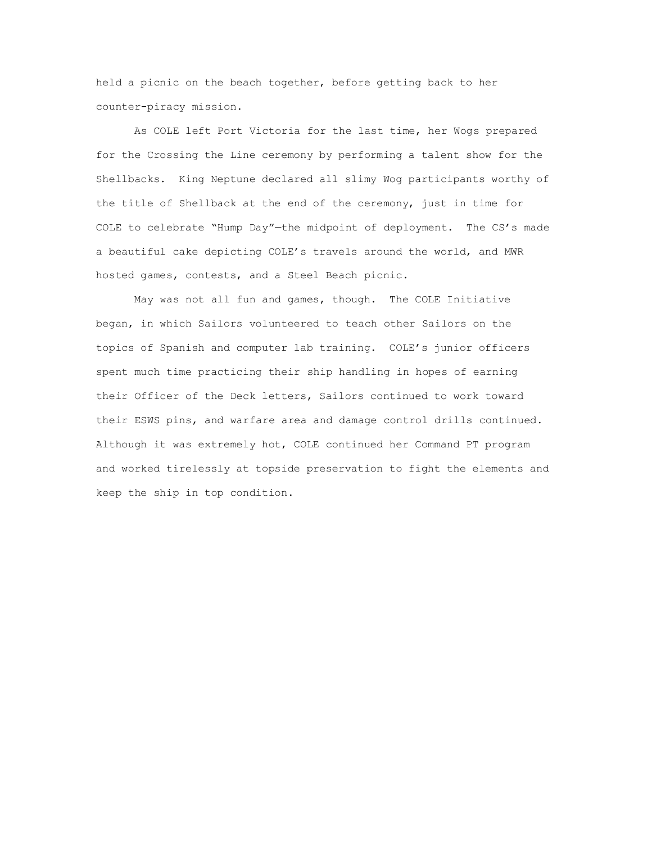held a picnic on the beach together, before getting back to her counter-piracy mission.

As COLE left Port Victoria for the last time, her Wogs prepared for the Crossing the Line ceremony by performing a talent show for the Shellbacks. King Neptune declared all slimy Wog participants worthy of the title of Shellback at the end of the ceremony, just in time for COLE to celebrate "Hump Day"—the midpoint of deployment. The CS's made a beautiful cake depicting COLE's travels around the world, and MWR hosted games, contests, and a Steel Beach picnic.

May was not all fun and games, though. The COLE Initiative began, in which Sailors volunteered to teach other Sailors on the topics of Spanish and computer lab training. COLE's junior officers spent much time practicing their ship handling in hopes of earning their Officer of the Deck letters, Sailors continued to work toward their ESWS pins, and warfare area and damage control drills continued. Although it was extremely hot, COLE continued her Command PT program and worked tirelessly at topside preservation to fight the elements and keep the ship in top condition.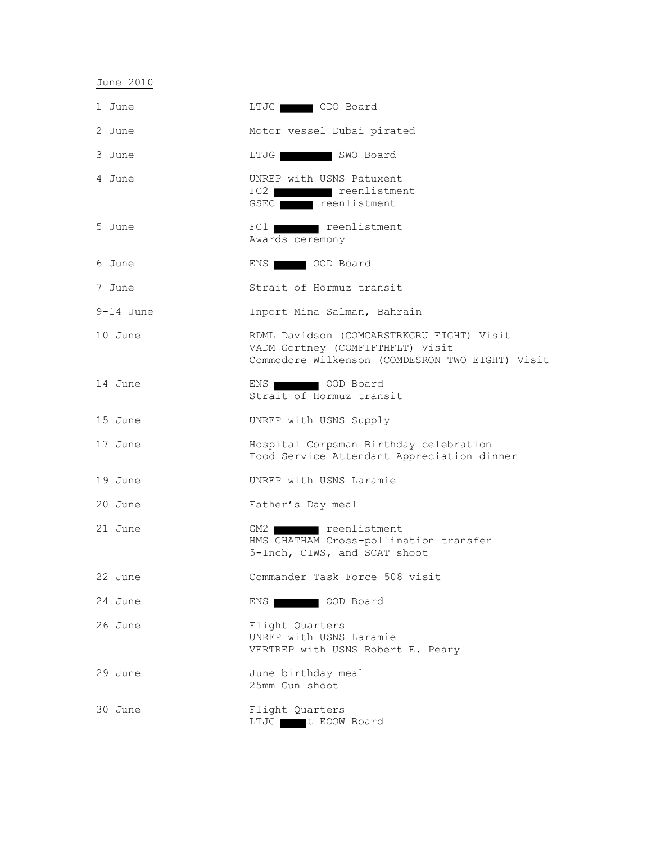June 2010

| 1 June      | LTJG CDO Board                                                                                                                   |
|-------------|----------------------------------------------------------------------------------------------------------------------------------|
| 2 June      | Motor vessel Dubai pirated                                                                                                       |
| 3 June      | LTJG SWO Board                                                                                                                   |
| 4 June      | UNREP with USNS Patuxent<br>FC2 reenlistment<br>GSEC reenlistment                                                                |
| 5 June      | FC1 reenlistment<br>Awards ceremony                                                                                              |
| 6 June      | ENS OOD Board                                                                                                                    |
| 7 June      | Strait of Hormuz transit                                                                                                         |
| $9-14$ June | Inport Mina Salman, Bahrain                                                                                                      |
| 10 June     | RDML Davidson (COMCARSTRKGRU EIGHT) Visit<br>VADM Gortney (COMFIFTHFLT) Visit<br>Commodore Wilkenson (COMDESRON TWO EIGHT) Visit |
| 14 June     | ENS COD Board<br>Strait of Hormuz transit                                                                                        |
| 15 June     | UNREP with USNS Supply                                                                                                           |
| 17 June     | Hospital Corpsman Birthday celebration<br>Food Service Attendant Appreciation dinner                                             |
| 19 June     | UNREP with USNS Laramie                                                                                                          |
| 20 June     | Father's Day meal                                                                                                                |
| 21 June     | GM2 reenlistment<br>HMS CHATHAM Cross-pollination transfer<br>5-Inch, CIWS, and SCAT shoot                                       |
| 22 June     | Commander Task Force 508 visit                                                                                                   |
| 24 June     | ENS   OOD Board                                                                                                                  |
| 26 June     | Flight Quarters<br>UNREP with USNS Laramie<br>VERTREP with USNS Robert E. Peary                                                  |
| 29 June     | June birthday meal<br>25mm Gun shoot                                                                                             |
| 30 June     | Flight Quarters<br>LTJG t EOOW Board                                                                                             |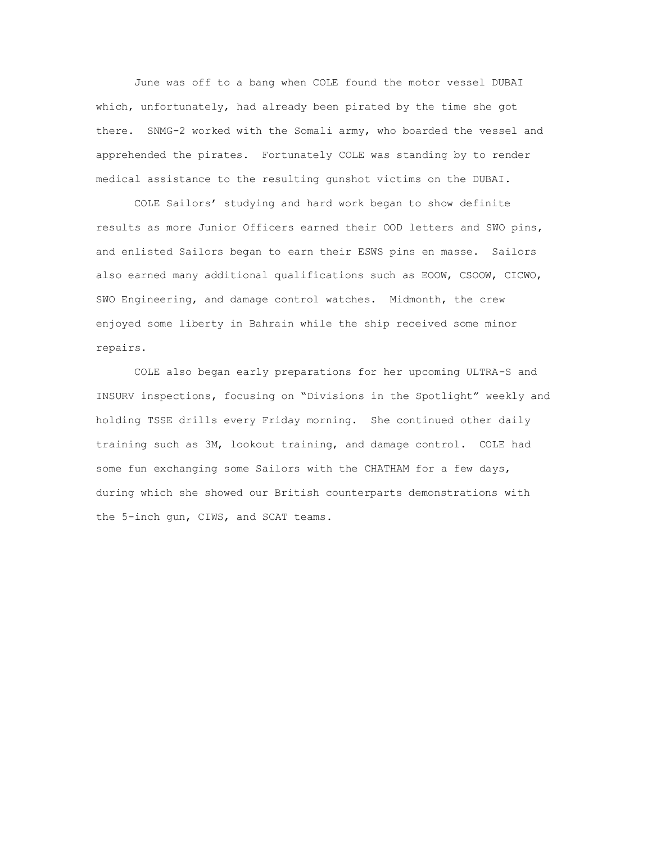June was off to a bang when COLE found the motor vessel DUBAI which, unfortunately, had already been pirated by the time she got there. SNMG-2 worked with the Somali army, who boarded the vessel and apprehended the pirates. Fortunately COLE was standing by to render medical assistance to the resulting gunshot victims on the DUBAI.

COLE Sailors' studying and hard work began to show definite results as more Junior Officers earned their OOD letters and SWO pins, and enlisted Sailors began to earn their ESWS pins en masse. Sailors also earned many additional qualifications such as EOOW, CSOOW, CICWO, SWO Engineering, and damage control watches. Midmonth, the crew enjoyed some liberty in Bahrain while the ship received some minor repairs.

COLE also began early preparations for her upcoming ULTRA-S and INSURV inspections, focusing on "Divisions in the Spotlight" weekly and holding TSSE drills every Friday morning. She continued other daily training such as 3M, lookout training, and damage control. COLE had some fun exchanging some Sailors with the CHATHAM for a few days, during which she showed our British counterparts demonstrations with the 5-inch gun, CIWS, and SCAT teams.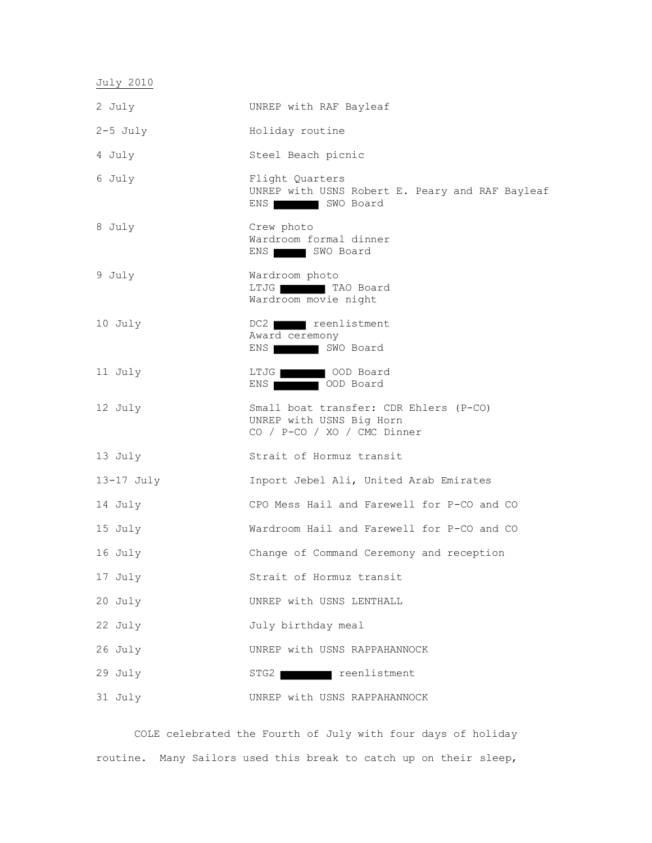July 2010

| 2 July     | UNREP with RAF Bayleaf                                                                            |
|------------|---------------------------------------------------------------------------------------------------|
| $2-5$ July | Holiday routine                                                                                   |
| 4 July     | Steel Beach picnic                                                                                |
| 6 July     | Flight Quarters<br>UNREP with USNS Robert E. Peary and RAF Bayleaf<br>ENS WO Board                |
| 8 July     | Crew photo<br>Wardroom formal dinner<br>ENS   SWO Board                                           |
| 9 July     | Wardroom photo<br>LTJG TAO Board<br>Wardroom movie night                                          |
| 10 July    | DC2 reenlistment<br>Award ceremony<br>ENS   SWO Board                                             |
| 11 July    | LTJG OOD Board<br>ENS   OOD Board                                                                 |
| 12 July    | Small boat transfer: CDR Ehlers (P-CO)<br>UNREP with USNS Big Horn<br>CO / P-CO / XO / CMC Dinner |
| 13 July    | Strait of Hormuz transit                                                                          |
| 13-17 July | Inport Jebel Ali, United Arab Emirates                                                            |
| 14 July    | CPO Mess Hail and Farewell for P-CO and CO                                                        |
| 15 July    | Wardroom Hail and Farewell for P-CO and CO                                                        |
| 16 July    | Change of Command Ceremony and reception                                                          |
| 17 July    | Strait of Hormuz transit                                                                          |
| 20 July    | UNREP with USNS LENTHALL                                                                          |
| 22 July    | July birthday meal                                                                                |
| 26 July    | UNREP with USNS RAPPAHANNOCK                                                                      |
| 29 July    | STG2 reenlistment                                                                                 |
| 31 July    | UNREP with USNS RAPPAHANNOCK                                                                      |

COLE celebrated the Fourth of July with four days of holiday routine. Many Sailors used this break to catch up on their sleep,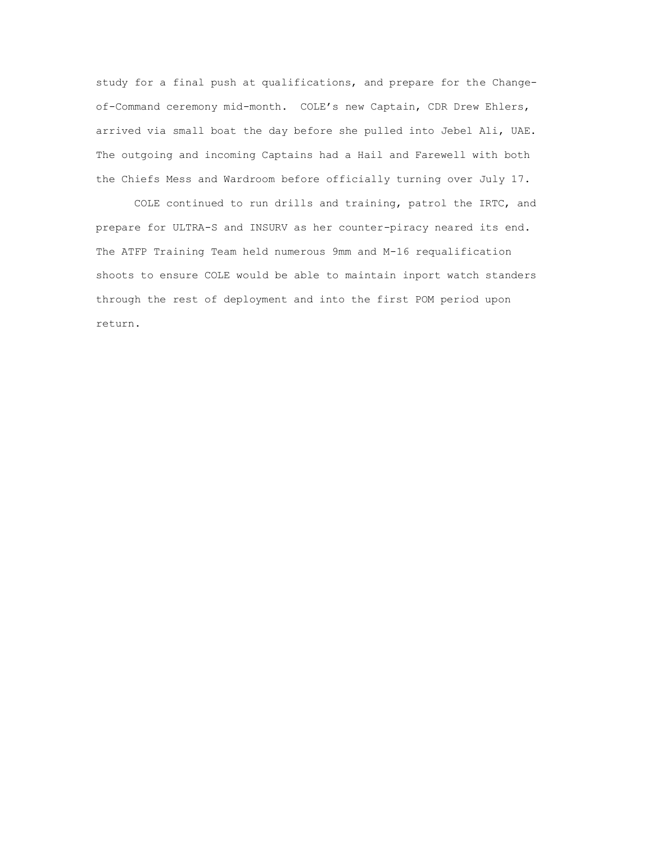study for a final push at qualifications, and prepare for the Changeof-Command ceremony mid-month. COLE's new Captain, CDR Drew Ehlers, arrived via small boat the day before she pulled into Jebel Ali, UAE. The outgoing and incoming Captains had a Hail and Farewell with both the Chiefs Mess and Wardroom before officially turning over July 17.

COLE continued to run drills and training, patrol the IRTC, and prepare for ULTRA-S and INSURV as her counter-piracy neared its end. The ATFP Training Team held numerous 9mm and M-16 requalification shoots to ensure COLE would be able to maintain inport watch standers through the rest of deployment and into the first POM period upon return.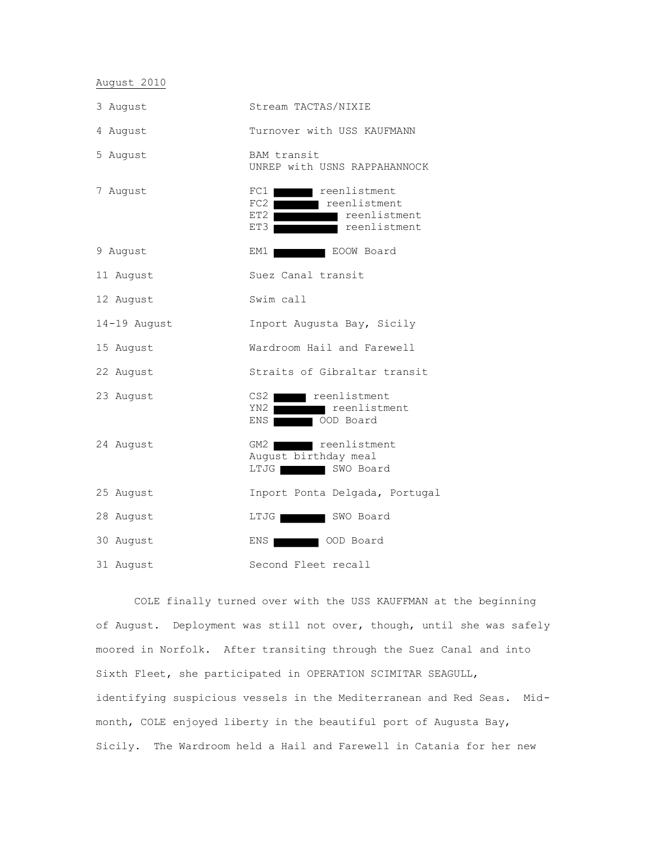August 2010

| 3 August     | Stream TACTAS/NIXIE                                                                                      |
|--------------|----------------------------------------------------------------------------------------------------------|
| 4 August     | Turnover with USS KAUFMANN                                                                               |
| 5 August     | BAM transit<br>UNREP with USNS RAPPAHANNOCK                                                              |
| 7 August     | FC1<br>■ reenlistment<br>FC2 reenlistment<br>reenlistment<br>$ET2$ $\blacksquare$<br>reenlistment<br>ET3 |
| 9 August     | EM1<br>EOOW Board                                                                                        |
| 11 August    | Suez Canal transit                                                                                       |
| 12 August    | Swim call                                                                                                |
| 14-19 August | Inport Augusta Bay, Sicily                                                                               |
| 15 August    | Wardroom Hail and Farewell                                                                               |
| 22 August    | Straits of Gibraltar transit                                                                             |
| 23 August    | CS2<br>■ reenlistment<br>YN2<br>reenlistment<br>OOD Board<br>ENS                                         |
| 24 August    | GM2<br>reenlistment<br>August birthday meal<br>SWO Board<br>LTJG <b>INTERNATIONAL</b>                    |
| 25 August    | Inport Ponta Delgada, Portugal                                                                           |
| 28 August    | LTJG<br>SWO Board                                                                                        |
| 30 August    | ENS<br>OOD Board                                                                                         |
| 31 August    | Second Fleet recall                                                                                      |

COLE finally turned over with the USS KAUFFMAN at the beginning of August. Deployment was still not over, though, until she was safely moored in Norfolk. After transiting through the Suez Canal and into Sixth Fleet, she participated in OPERATION SCIMITAR SEAGULL, identifying suspicious vessels in the Mediterranean and Red Seas. Midmonth, COLE enjoyed liberty in the beautiful port of Augusta Bay, Sicily. The Wardroom held a Hail and Farewell in Catania for her new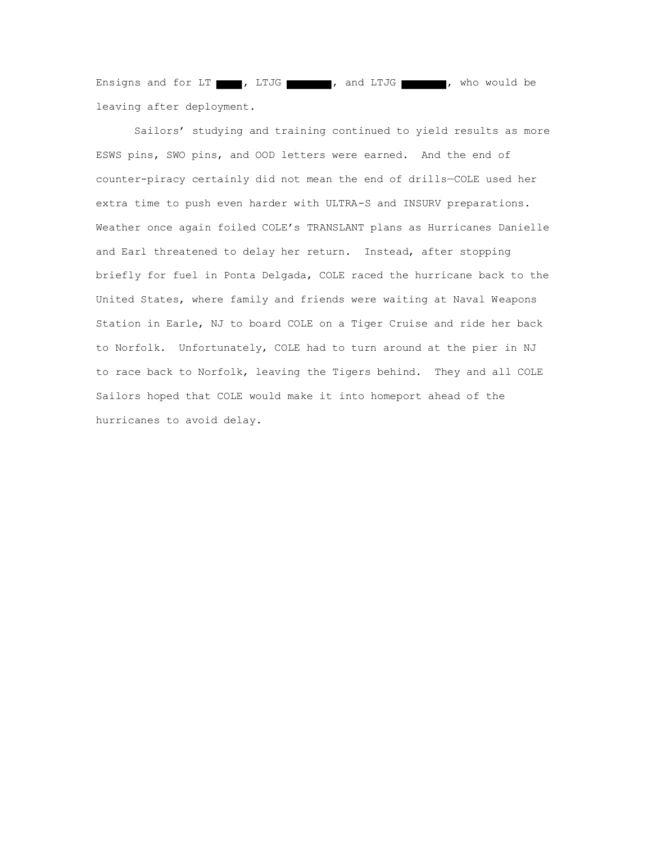Ensigns and for LT , LTJG , and LTJG , who would be leaving after deployment.

Sailors' studying and training continued to yield results as more ESWS pins, SWO pins, and OOD letters were earned. And the end of counter-piracy certainly did not mean the end of drills—COLE used her extra time to push even harder with ULTRA-S and INSURV preparations. Weather once again foiled COLE's TRANSLANT plans as Hurricanes Danielle and Earl threatened to delay her return. Instead, after stopping briefly for fuel in Ponta Delgada, COLE raced the hurricane back to the United States, where family and friends were waiting at Naval Weapons Station in Earle, NJ to board COLE on a Tiger Cruise and ride her back to Norfolk. Unfortunately, COLE had to turn around at the pier in NJ to race back to Norfolk, leaving the Tigers behind. They and all COLE Sailors hoped that COLE would make it into homeport ahead of the hurricanes to avoid delay.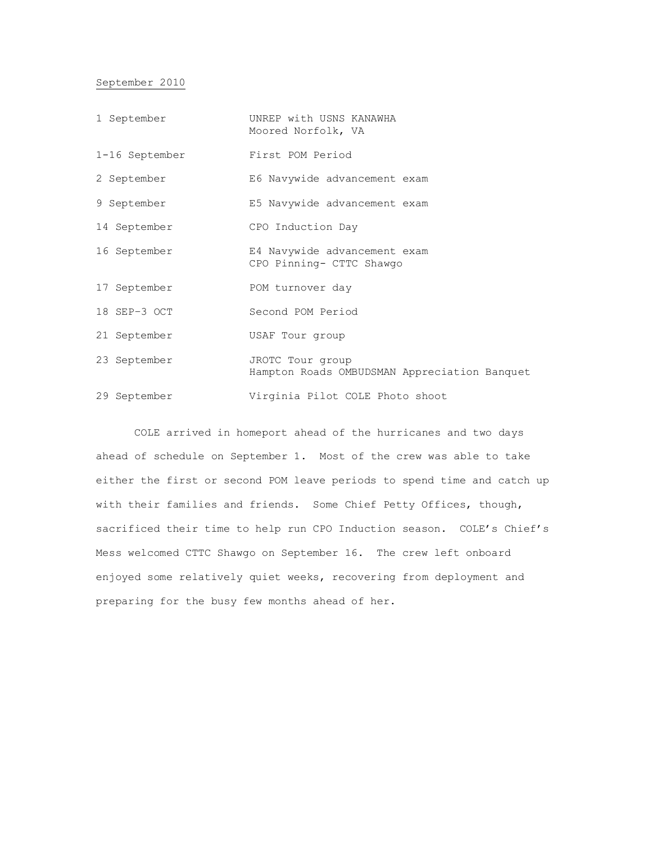## September 2010

| 1 September    | UNREP with USNS KANAWHA<br>Moored Norfolk, VA                    |
|----------------|------------------------------------------------------------------|
| 1-16 September | First POM Period                                                 |
| 2 September    | E6 Navywide advancement exam                                     |
| 9 September    | E5 Navywide advancement exam                                     |
| 14 September   | CPO Induction Day                                                |
| 16 September   | E4 Navywide advancement exam<br>CPO Pinning- CTTC Shawgo         |
| 17 September   | POM turnover day                                                 |
| 18 SEP-3 OCT   | Second POM Period                                                |
| 21 September   | USAF Tour group                                                  |
| 23 September   | JROTC Tour group<br>Hampton Roads OMBUDSMAN Appreciation Banquet |
| 29 September   | Virginia Pilot COLE Photo shoot                                  |

COLE arrived in homeport ahead of the hurricanes and two days ahead of schedule on September 1. Most of the crew was able to take either the first or second POM leave periods to spend time and catch up with their families and friends. Some Chief Petty Offices, though, sacrificed their time to help run CPO Induction season. COLE's Chief's Mess welcomed CTTC Shawgo on September 16. The crew left onboard enjoyed some relatively quiet weeks, recovering from deployment and preparing for the busy few months ahead of her.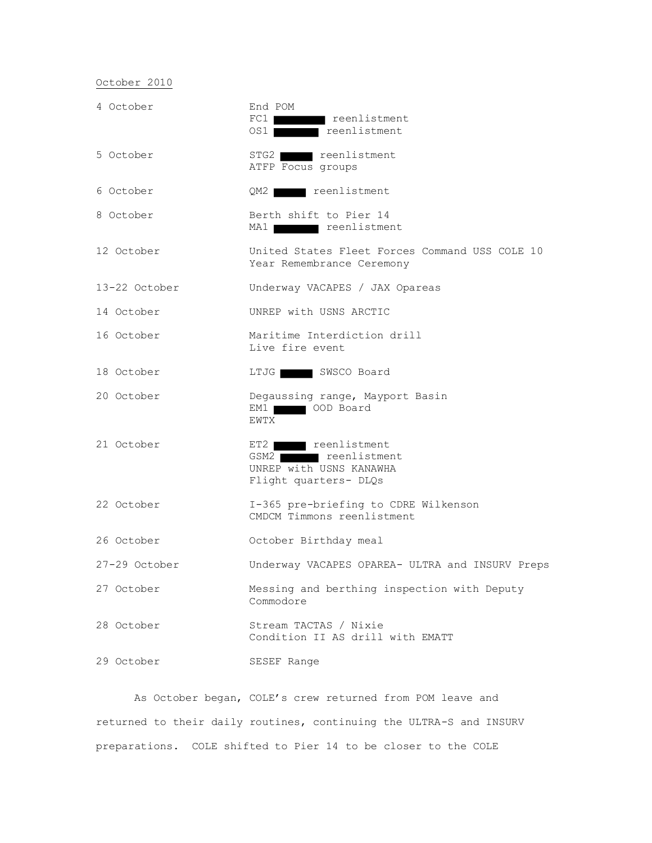# October 2010

| 4 October     | End POM<br>FC1 reenlistment<br>OS1 <b>reenlistment</b>                                    |
|---------------|-------------------------------------------------------------------------------------------|
| 5 October     | STG2 reenlistment<br>ATFP Focus groups                                                    |
| 6 October     | QM2 reenlistment                                                                          |
| 8 October     | Berth shift to Pier 14<br>MA1 reenlistment                                                |
| 12 October    | United States Fleet Forces Command USS COLE 10<br>Year Remembrance Ceremony               |
| 13-22 October | Underway VACAPES / JAX Opareas                                                            |
| 14 October    | UNREP with USNS ARCTIC                                                                    |
| 16 October    | Maritime Interdiction drill<br>Live fire event                                            |
| 18 October    | LTJG SWSCO Board                                                                          |
| 20 October    | Degaussing range, Mayport Basin<br>EM1 OOD Board<br>EWTX                                  |
| 21 October    | ET2 reenlistment<br>GSM2 reenlistment<br>UNREP with USNS KANAWHA<br>Flight quarters- DLQs |
| 22 October    | I-365 pre-briefing to CDRE Wilkenson<br>CMDCM Timmons reenlistment                        |
| 26 October    | October Birthday meal                                                                     |
| 27-29 October | Underway VACAPES OPAREA- ULTRA and INSURV Preps                                           |
| 27 October    | Messing and berthing inspection with Deputy<br>Commodore                                  |
| 28 October    | Stream TACTAS / Nixie<br>Condition II AS drill with EMATT                                 |
| 29 October    | SESEF Range                                                                               |

As October began, COLE's crew returned from POM leave and returned to their daily routines, continuing the ULTRA-S and INSURV preparations. COLE shifted to Pier 14 to be closer to the COLE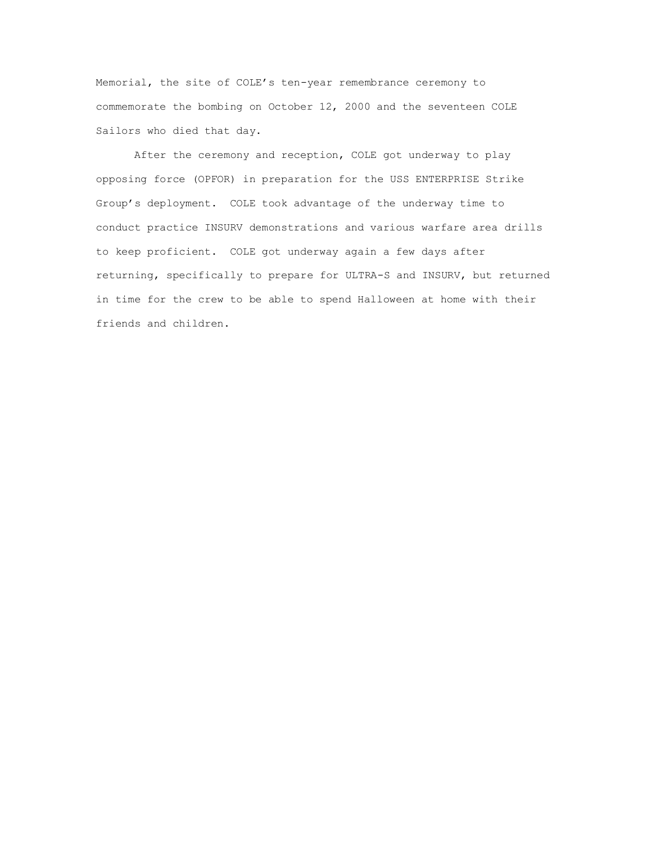Memorial, the site of COLE's ten-year remembrance ceremony to commemorate the bombing on October 12, 2000 and the seventeen COLE Sailors who died that day.

After the ceremony and reception, COLE got underway to play opposing force (OPFOR) in preparation for the USS ENTERPRISE Strike Group's deployment. COLE took advantage of the underway time to conduct practice INSURV demonstrations and various warfare area drills to keep proficient. COLE got underway again a few days after returning, specifically to prepare for ULTRA-S and INSURV, but returned in time for the crew to be able to spend Halloween at home with their friends and children.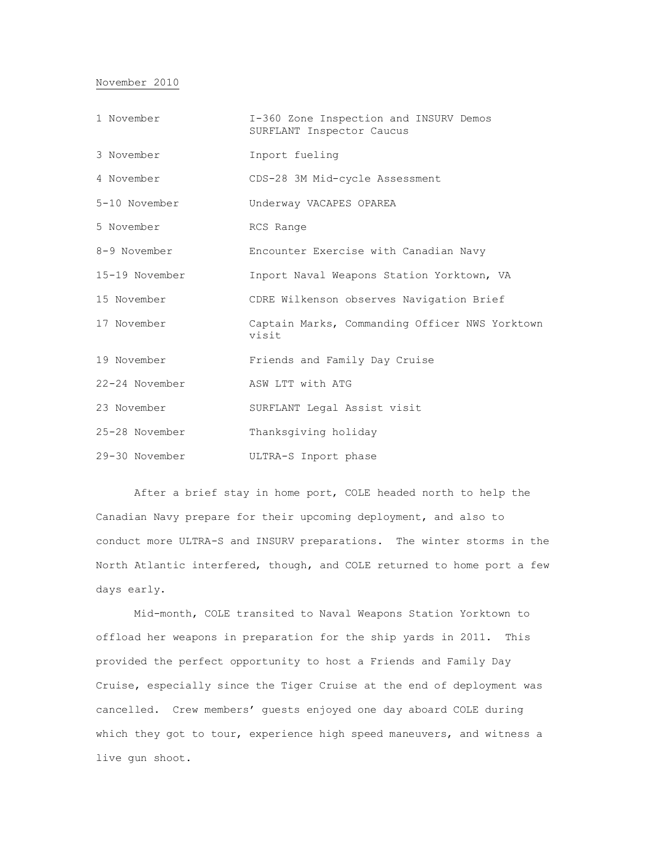#### November 2010

| 1 November     | I-360 Zone Inspection and INSURV Demos<br>SURFLANT Inspector Caucus |
|----------------|---------------------------------------------------------------------|
| 3 November     | Inport fueling                                                      |
| 4 November     | CDS-28 3M Mid-cycle Assessment                                      |
| 5-10 November  | Underway VACAPES OPAREA                                             |
| 5 November     | RCS Range                                                           |
| 8-9 November   | Encounter Exercise with Canadian Navy                               |
| 15-19 November | Inport Naval Weapons Station Yorktown, VA                           |
| 15 November    | CDRE Wilkenson observes Navigation Brief                            |
| 17 November    | Captain Marks, Commanding Officer NWS Yorktown<br>visit             |
| 19 November    | Friends and Family Day Cruise                                       |
| 22-24 November | ASW LTT with ATG                                                    |
| 23 November    | SURFLANT Legal Assist visit                                         |
| 25-28 November | Thanksgiving holiday                                                |
| 29-30 November | ULTRA-S Inport phase                                                |

After a brief stay in home port, COLE headed north to help the Canadian Navy prepare for their upcoming deployment, and also to conduct more ULTRA-S and INSURV preparations. The winter storms in the North Atlantic interfered, though, and COLE returned to home port a few days early.

Mid-month, COLE transited to Naval Weapons Station Yorktown to offload her weapons in preparation for the ship yards in 2011. This provided the perfect opportunity to host a Friends and Family Day Cruise, especially since the Tiger Cruise at the end of deployment was cancelled. Crew members' guests enjoyed one day aboard COLE during which they got to tour, experience high speed maneuvers, and witness a live gun shoot.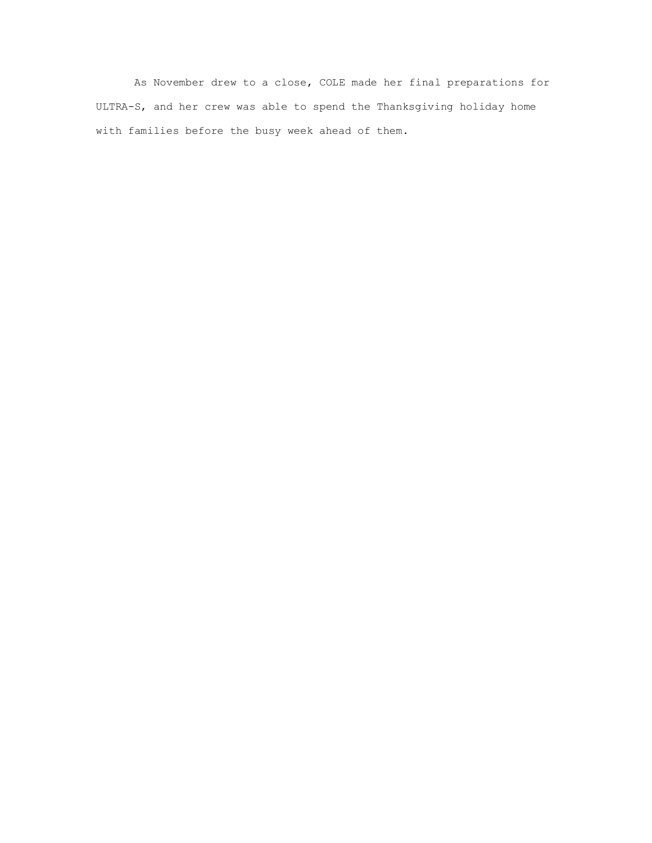As November drew to a close, COLE made her final preparations for ULTRA-S, and her crew was able to spend the Thanksgiving holiday home with families before the busy week ahead of them.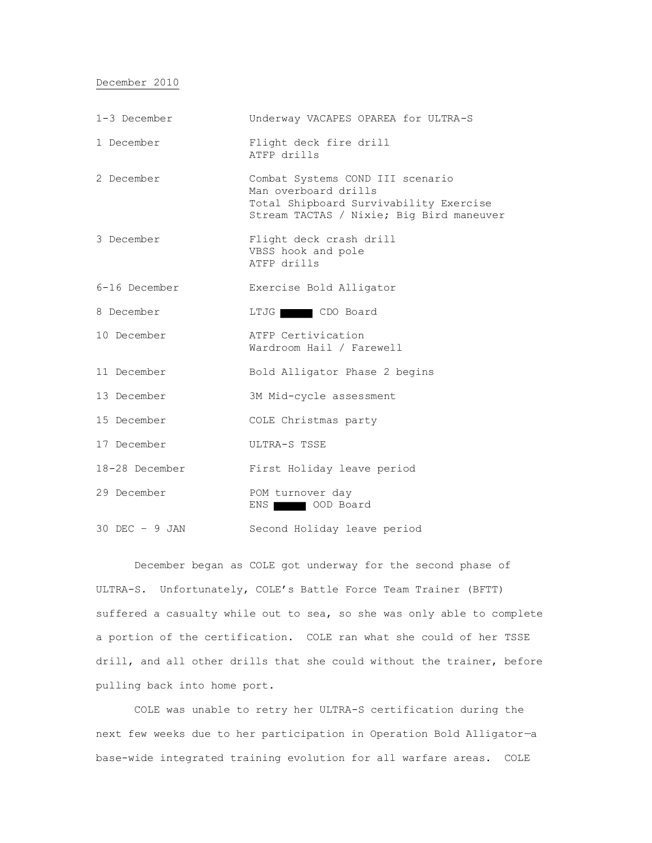December 2010

| $1-3$ December   | Underway VACAPES OPAREA for ULTRA-S                                                                                                            |
|------------------|------------------------------------------------------------------------------------------------------------------------------------------------|
| 1 December       | Flight deck fire drill<br>ATFP drills                                                                                                          |
| 2 December       | Combat Systems COND III scenario<br>Man overboard drills<br>Total Shipboard Survivability Exercise<br>Stream TACTAS / Nixie; Big Bird maneuver |
| 3 December       | Flight deck crash drill<br>VBSS hook and pole<br>ATFP drills                                                                                   |
| $6-16$ December  | Exercise Bold Alligator                                                                                                                        |
| 8 December       | LTJG CDO Board                                                                                                                                 |
| 10 December      | ATFP Certivication<br>Wardroom Hail / Farewell                                                                                                 |
| 11 December      | Bold Alligator Phase 2 begins                                                                                                                  |
| 13 December      | 3M Mid-cycle assessment                                                                                                                        |
| 15 December      | COLE Christmas party                                                                                                                           |
| 17 December      | ULTRA-S TSSE                                                                                                                                   |
| 18-28 December   | First Holiday leave period                                                                                                                     |
| 29 December      | POM turnover day<br>OOD Board<br>ENS I                                                                                                         |
| $30$ DEC - 9 JAN | Second Holiday leave period                                                                                                                    |

December began as COLE got underway for the second phase of ULTRA-S. Unfortunately, COLE's Battle Force Team Trainer (BFTT) suffered a casualty while out to sea, so she was only able to complete a portion of the certification. COLE ran what she could of her TSSE drill, and all other drills that she could without the trainer, before pulling back into home port.

COLE was unable to retry her ULTRA-S certification during the next few weeks due to her participation in Operation Bold Alligator—a base-wide integrated training evolution for all warfare areas. COLE